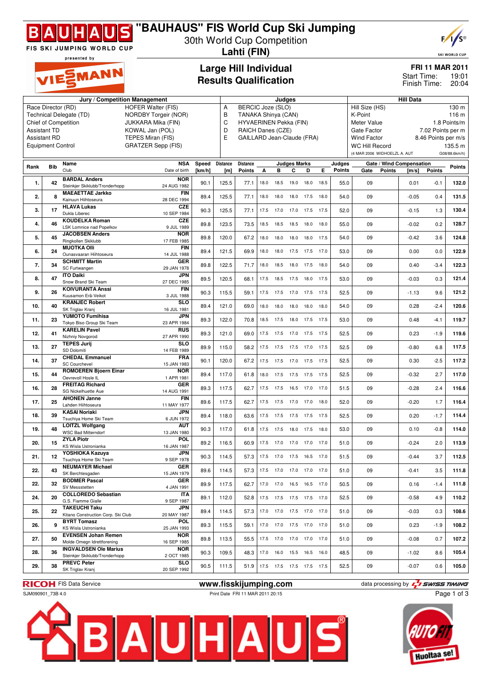

## **"BAUHAUS" FIS World Cup Ski Jumping**

30th World Cup Competition **Lahti (FIN)**



SKI WORLD CUP

19:01

**FRI 11 MAR 2011**

20:04 Finish Time:

Start Time:

presented by SMANN

### **Large Hill Individual Results Qualification**

|                                                   |                                                                                                          | Jury / Competition Management                            |                           | Judges |                 |                                    |      |           |                              |                | <b>Hill Data</b> |        |                              |               |                          |                     |               |
|---------------------------------------------------|----------------------------------------------------------------------------------------------------------|----------------------------------------------------------|---------------------------|--------|-----------------|------------------------------------|------|-----------|------------------------------|----------------|------------------|--------|------------------------------|---------------|--------------------------|---------------------|---------------|
| Race Director (RD)                                | А<br>В                                                                                                   | <b>BERCIC Joze (SLO)</b>                                 |                           |        |                 |                                    |      |           | Hill Size (HS)<br>130 m      |                |                  |        |                              |               |                          |                     |               |
| Technical Delegate (TD)<br>NORDBY Torgeir (NOR)   |                                                                                                          |                                                          |                           |        |                 | TANAKA Shinya (CAN)                |      |           |                              |                |                  |        | K-Point                      |               |                          |                     | 116 m         |
| <b>Chief of Competition</b><br>JUKKARA Mika (FIN) |                                                                                                          |                                                          |                           |        |                 | C<br><b>HYVAERINEN Pekka (FIN)</b> |      |           |                              |                |                  |        | Meter Value<br>1.8 Points/m  |               |                          |                     |               |
| KOWAL Jan (POL)<br><b>Assistant TD</b>            |                                                                                                          |                                                          |                           |        | D<br>E          | RAICH Danes (CZE)                  |      |           |                              |                |                  |        | Gate Factor                  |               |                          | 7.02 Points per m   |               |
|                                                   | <b>Assistant RD</b><br>TEPES Miran (FIS)                                                                 |                                                          |                           |        |                 | GAILLARD Jean-Claude (FRA)         |      |           |                              |                |                  |        | <b>Wind Factor</b>           |               |                          | 8.46 Points per m/s |               |
|                                                   | <b>Equipment Control</b>                                                                                 |                                                          | <b>GRATZER Sepp (FIS)</b> |        |                 |                                    |      |           |                              |                |                  |        | <b>WC Hill Record</b>        |               |                          |                     | 135.5 m       |
|                                                   |                                                                                                          |                                                          |                           |        |                 |                                    |      |           |                              |                |                  |        | (4 MAR 2006 WIDHOELZL A. AUT |               |                          |                     | G08/88.6km/h) |
| Rank                                              | <b>Bib</b>                                                                                               | Name                                                     | <b>NSA</b>                | Speed  | <b>Distance</b> | <b>Distance</b>                    |      |           | <b>Judges Marks</b>          |                |                  | Judges |                              |               | Gate / Wind Compensation |                     | <b>Points</b> |
|                                                   |                                                                                                          | Club                                                     | Date of birth             | [km/h] | [m]             | Points                             | А    | в         | С                            | D              | Е                | Points | Gate                         | <b>Points</b> | [m/s]                    | Points              |               |
| 1.                                                | 42                                                                                                       | <b>BARDAL Anders</b>                                     | <b>NOR</b>                | 90.1   | 125.5           | 77.1                               |      |           |                              |                | 18.5             | 55.0   | 09                           |               | 0.01                     | $-0.1$              | 132.0         |
|                                                   |                                                                                                          | Steinkjer Skiklubb/Tronderhopp                           | 24 AUG 1982               |        |                 |                                    | 18.0 | 18.5      | 19.0                         | 18.0           |                  |        |                              |               |                          |                     |               |
| 2.                                                | 8                                                                                                        | <b>MAEAETTAE Jarkko</b>                                  | <b>FIN</b>                | 89.4   | 125.5           | 77.1                               | 18.0 | 18.0      | 18.0                         | 17.5           | 18.0             | 54.0   | 09                           |               | $-0.05$                  | 0.4                 | 131.5         |
|                                                   |                                                                                                          | Kainuun Hiihtoseura<br><b>HLAVA Lukas</b>                | 28 DEC 1994<br>CZE        |        |                 |                                    |      |           |                              |                |                  |        |                              |               |                          |                     |               |
| 3.                                                | 17                                                                                                       | Dukla Liberec                                            | 10 SEP 1984               | 90.3   | 125.5           | 77.1                               | 17.5 | 17.0      | 17.0 17.5                    |                | 17.5             | 52.0   | 09                           |               | $-0.15$                  | 1.3                 | 130.4         |
|                                                   | 46                                                                                                       | <b>KOUDELKA Roman</b>                                    | <b>CZE</b>                |        |                 |                                    |      |           |                              |                |                  |        |                              |               |                          |                     | 128.7         |
| 4.                                                |                                                                                                          | LSK Lomnice nad Popelkov                                 | 9 JUL 1989                | 89.8   | 123.5           | 73.5                               | 18.5 | 18.5      | 18.5 18.0                    |                | 18.0             | 55.0   | 09                           |               | $-0.02$                  | 0.2                 |               |
| 5.                                                | 45                                                                                                       | <b>JACOBSEN Anders</b>                                   | <b>NOR</b>                | 89.8   | 120.0           | 67.2                               | 18.0 | 18.0      | 18.0                         | 18.0           | 17.5             | 54.0   | 09                           |               | $-0.42$                  | 3.6                 | 124.8         |
|                                                   |                                                                                                          | Ringkollen Skiklubb<br><b>MUOTKA Olli</b>                | 17 FEB 1985<br><b>FIN</b> |        |                 |                                    |      |           |                              |                |                  |        |                              |               |                          |                     |               |
| 6.                                                | 24                                                                                                       | Ounasvaaran Hiihtoseura                                  | 14 JUL 1988               | 89.4   | 121.5           | 69.9                               | 18.0 | 18.0      | 17.5                         | 17.5           | 17.0             | 53.0   | 09                           |               | 0.00                     | 0.0                 | 122.9         |
|                                                   | 34                                                                                                       | <b>SCHMITT Martin</b>                                    | <b>GER</b>                |        |                 |                                    |      |           |                              |                |                  |        |                              |               |                          |                     |               |
| 7.                                                |                                                                                                          | SC Furtwangen                                            | 29 JAN 1978               | 89.8   | 122.5           | 71.7                               | 18.0 | 18.5      | 18.0                         | 17.5           | 18.0             | 54.0   | 09                           |               | 0.40                     | $-3.4$              | 122.3         |
| 8.                                                | 47                                                                                                       | <b>ITO Daiki</b><br>Snow Brand Ski Team                  | JPN                       | 89.5   | 120.5           | 68.1                               |      |           | 17.5  18.5  17.5  18.0  17.5 |                |                  | 53.0   | 09                           |               | $-0.03$                  | 0.3                 | 121.4         |
|                                                   |                                                                                                          | <b>KOIVURANTA Anssi</b>                                  | 27 DEC 1985<br><b>FIN</b> |        |                 |                                    |      |           |                              |                |                  |        |                              |               |                          |                     |               |
| 9.                                                | 26                                                                                                       | Kuusamon Erä-Veikot                                      | 3 JUL 1988                | 90.3   | 115.5           | 59.1                               | 17.5 | 17.5      | 17.0                         | 17.5           | 17.5             | 52.5   | 09                           |               | $-1.13$                  | 9.6                 | 121.2         |
| 10.                                               | 40                                                                                                       | <b>KRANJEC Robert</b>                                    | <b>SLO</b>                | 89.4   | 121.0           | 69.0                               | 18.0 | 18.0      | 18.0                         | 18.0           | 18.0             | 54.0   | 09                           |               | 0.28                     | $-2.4$              | 120.6         |
|                                                   |                                                                                                          | SK Triglav Kranj                                         | 16 JUL 1981               |        |                 |                                    |      |           |                              |                |                  |        |                              |               |                          |                     |               |
| 11.                                               | 23                                                                                                       | <b>YUMOTO Fumihisa</b><br>Tokyo Biso Group Ski Team      | <b>JPN</b><br>23 APR 1984 | 89.3   | 122.0           | 70.8                               | 18.5 | 17.5      | 18.0                         | 17.5           | 17.5             | 53.0   | 09                           |               | 0.48                     | $-4.1$              | 119.7         |
|                                                   |                                                                                                          | <b>KARELIN Pavel</b>                                     | <b>RUS</b>                |        |                 |                                    |      |           |                              |                |                  |        |                              |               |                          |                     |               |
| 12.                                               | 41                                                                                                       | Nizhniy Novgorod                                         | 27 APR 1990               | 89.3   | 121.0           | 69.0                               |      |           | 17.5 17.5 17.0 17.5 17.5     |                |                  | 52.5   | 09                           |               | 0.23                     | $-1.9$              | 119.6         |
| 13.                                               | 27                                                                                                       | <b>TEPES Jurij</b>                                       | SLO                       | 89.9   | 115.0           | 58.2                               |      |           | 17.5 17.5 17.5 17.0 17.5     |                |                  | 52.5   | 09                           |               | $-0.80$                  | 6.8                 | 117.5         |
|                                                   |                                                                                                          | SD Dolomiti                                              | 14 FEB 1989               |        |                 |                                    |      |           |                              |                |                  |        |                              |               |                          |                     |               |
| 14.                                               | 37                                                                                                       | <b>CHEDAL Emmanuel</b><br><b>SC Courchevel</b>           | <b>FRA</b><br>15 JAN 1983 | 90.1   | 120.0           | 67.2                               | 17.5 | 17.5      | 17.0                         | 17.5           | 17.5             | 52.5   | 09                           |               | 0.30                     | $-2.5$              | 117.2         |
|                                                   |                                                                                                          | <b>ROMOEREN Bjoern Einar</b>                             | <b>NOR</b>                |        |                 |                                    |      |           |                              |                |                  |        |                              |               |                          |                     |               |
| 15.                                               | 44                                                                                                       | Oevrevoll Hosle IL                                       | 1 APR 1981                | 89.4   | 117.0           | 61.8                               | 18.0 | 17.5      | 17.5                         | 17.5           | 17.5             | 52.5   | 09                           |               | $-0.32$                  | 2.7                 | 117.0         |
| 16.                                               | 28                                                                                                       | <b>FREITAG Richard</b>                                   | <b>GER</b>                | 89.3   | 117.5           | 62.7                               | 17.5 | 17.5      | 16.5                         | 17.0           | 17.0             | 51.5   | 09                           |               | $-0.28$                  | 2.4                 | 116.6         |
|                                                   |                                                                                                          | SG Nickelhuette Aue<br><b>AHONEN Janne</b>               | 14 AUG 1991<br><b>FIN</b> |        |                 |                                    |      |           |                              |                |                  |        |                              |               |                          |                     |               |
| 17.                                               | 25                                                                                                       | Lahden Hiihtoseura                                       | 11 MAY 1977               | 89.6   | 117.5           | 62.7                               |      |           | 17.5 17.5 17.0 17.0          |                | 18.0             | 52.0   | 09                           |               | $-0.20$                  | 1.7                 | 116.4         |
| 18.                                               | 39                                                                                                       | <b>KASAI Noriaki</b>                                     | JPN                       | 89.4   | 118.0           | 63.6                               |      |           | 17.5 17.5 17.5 17.5 17.5     |                |                  | 52.5   | 09                           |               | 0.20                     | $-1.7$              | 114.4         |
|                                                   |                                                                                                          | Tsuchiya Home Ski Team                                   | 6 JUN 1972                |        |                 |                                    |      |           |                              |                |                  |        |                              |               |                          |                     |               |
| 19.                                               | 48                                                                                                       | <b>LOITZL Wolfgang</b><br><b>WSC Bad Mitterndorf</b>     | <b>AUT</b><br>13 JAN 1980 | 90.3   | 117.0           | 61.8                               | 17.5 | 17.5      | 18.0 17.5                    |                | 18.0             | 53.0   | 09                           |               | 0.10                     | $-0.8$              | 114.0         |
|                                                   |                                                                                                          | <b>ZYLA Piotr</b>                                        | <b>POL</b>                |        |                 |                                    |      |           |                              |                |                  |        |                              |               |                          |                     |               |
| 20.                                               | 15                                                                                                       | <b>KS Wisla Ustronianka</b>                              | 16 JAN 1987               | 89.2   | 116.5           | 60.9                               | 17.5 | 17.0      | 17.0                         | 17.0           | 17.0             | 51.0   | 09                           |               | $-0.24$                  | 2.0                 | 113.9         |
| 21.                                               | 12                                                                                                       | YOSHIOKA Kazuya                                          | <b>JPN</b>                | 90.3   | 114.5           | 57.3                               |      |           | 17.5 17.0 17.5 16.5          |                | 17.0             | 51.5   | 09                           |               | $-0.44$                  | 3.7                 | 112.5         |
|                                                   |                                                                                                          | Tsuchiya Home Ski Team                                   | 9 SEP 1978                |        |                 |                                    |      |           |                              |                |                  |        |                              |               |                          |                     |               |
| 22.                                               | 43                                                                                                       | <b>NEUMAYER Michael</b><br>SK Berchtesgaden              | GER<br>15 JAN 1979        | 89.6   | 114.5           | 57.3                               |      |           | 17.5 17.0 17.0 17.0 17.0     |                |                  | 51.0   | 09                           |               | $-0.41$                  | 3.5                 | 111.8         |
|                                                   |                                                                                                          | <b>BODMER Pascal</b>                                     | GER                       |        |                 |                                    |      |           |                              |                |                  |        |                              |               |                          |                     |               |
| 22.                                               | 32                                                                                                       | SV Messstetten                                           | 4 JAN 1991                | 89.9   | 117.5           | 62.7                               |      | 17.0 17.0 | 16.5 16.5 17.0               |                |                  | 50.5   | 09                           |               | 0.16                     | $-1.4$              | 111.8         |
| 24.                                               | 20                                                                                                       | <b>COLLOREDO Sebastian</b>                               | <b>ITA</b>                | 89.1   | 112.0           | 52.8                               |      |           | 17.5 17.5 17.5 17.5 17.0     |                |                  | 52.5   | 09                           |               | $-0.58$                  | 4.9                 | 110.2         |
|                                                   |                                                                                                          | G.S. Fiamme Gialle<br><b>TAKEUCHI Taku</b>               | 9 SEP 1987<br><b>JPN</b>  |        |                 |                                    |      |           |                              |                |                  |        |                              |               |                          |                     |               |
| 25.                                               | 22                                                                                                       | Kitano Construction Corp. Ski Club                       | 20 MAY 1987               | 89.4   | 114.5           | 57.3                               |      |           | 17.0  17.0  17.5  17.0  17.0 |                |                  | 51.0   | 09                           |               | $-0.03$                  | 0.3                 | 108.6         |
|                                                   | 9                                                                                                        | <b>BYRT Tomasz</b>                                       | POL                       | 89.3   |                 |                                    |      |           | 17.0  17.0  17.5  17.0  17.0 |                |                  |        | 09                           |               |                          |                     | 108.2         |
| 26.                                               |                                                                                                          | KS Wisla Ustronianka                                     | 25 JAN 1993               |        | 115.5           | 59.1                               |      |           |                              |                |                  | 51.0   |                              |               | 0.23                     | $-1.9$              |               |
| 27.                                               | 50                                                                                                       | <b>EVENSEN Johan Remen</b><br>Molde Omegn Idrettforening | <b>NOR</b><br>16 SEP 1985 | 89.8   | 113.5           | 55.5                               |      |           | 17.5 17.0 17.0 17.0 17.0     |                |                  | 51.0   | 09                           |               | $-0.08$                  | 0.7                 | 107.2         |
|                                                   |                                                                                                          | <b>INGVALDSEN Ole Marius</b>                             | <b>NOR</b>                |        |                 |                                    |      |           |                              |                |                  |        |                              |               |                          |                     |               |
| 28.                                               | 36                                                                                                       | Steinkjer Skiklubb/Tronderhopp                           | 2 OCT 1985                | 90.3   | 109.5           | 48.3                               | 17.0 | 16.0      |                              | 15.5 16.5 16.0 |                  | 48.5   | 09                           |               | $-1.02$                  | 8.6                 | 105.4         |
| 29.                                               | 38                                                                                                       | <b>PREVC Peter</b>                                       | <b>SLO</b>                | 90.5   | 111.5           | 51.9                               |      |           | 17.5 17.5 17.5 17.5 17.5     |                |                  | 52.5   | 09                           |               | $-0.07$                  | 0.6                 | 105.0         |
|                                                   |                                                                                                          | SK Triglav Kranj                                         | 20 SEP 1992               |        |                 |                                    |      |           |                              |                |                  |        |                              |               |                          |                     |               |
|                                                   |                                                                                                          |                                                          |                           |        |                 |                                    |      |           |                              |                |                  |        |                              |               |                          |                     |               |
|                                                   | www.fisskijumping.com<br>data processing by $\overline{L}$ SWISS TIMING<br><b>RICOH</b> FIS Data Service |                                                          |                           |        |                 |                                    |      |           |                              |                |                  |        |                              |               |                          |                     |               |

SJM090901\_73B 4.0 Print Date FRI 11 MAR 2011 20:15





Page 1 of 3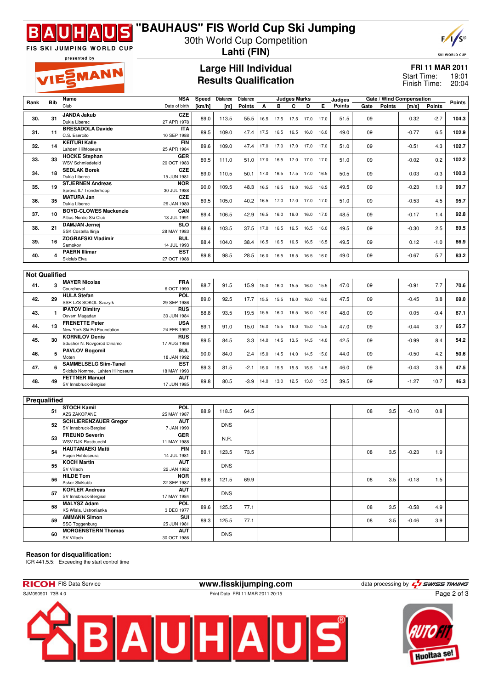

## **"BAUHAUS" FIS World Cup Ski Jumping**

30th World Cup Competition **Lahti (FIN)**

**Results Qualification**

presented by

VIESMANN

FIS SKI JUMPING WORLD CUP

# **Large Hill Individual**

## $F/1/s$ **SKI WORLD CUP**

**FRI 11 MAR 2011** 19:01

20:04 Finish Time: Start Time:

|                      |              | Name                             | NSA           | Speed  | <b>Distance</b> | <b>Distance</b> |      | Judges Marks<br>Judges |           |      |      | Gate / Wind Compensation |      |               |         |               |        |
|----------------------|--------------|----------------------------------|---------------|--------|-----------------|-----------------|------|------------------------|-----------|------|------|--------------------------|------|---------------|---------|---------------|--------|
| Rank                 | <b>Bib</b>   | Club                             | Date of birth | [km/h] | [m]             | <b>Points</b>   | А    | в                      | C         | D    | Е    | Points                   | Gate | <b>Points</b> | [m/s]   | <b>Points</b> | Points |
|                      |              |                                  |               |        |                 |                 |      |                        |           |      |      |                          |      |               |         |               |        |
| 30.                  | 31           | <b>JANDA Jakub</b>               | <b>CZE</b>    | 89.0   | 113.5           | 55.5            |      | 16.5 17.5              | 17.5 17.0 |      | 17.0 | 51.5                     | 09   |               | 0.32    | $-2.7$        | 104.3  |
|                      |              | Dukla Liberec                    | 27 APR 1978   |        |                 |                 |      |                        |           |      |      |                          |      |               |         |               |        |
|                      |              | <b>BRESADOLA Davide</b>          | <b>ITA</b>    |        |                 |                 |      |                        |           |      |      |                          |      |               |         |               |        |
| 31.                  | 11           | C.S. Esercito                    | 10 SEP 1988   | 89.5   | 109.0           | 47.4            | 17.5 | 16.5                   | 16.5      | 16.0 | 16.0 | 49.0                     | 09   |               | $-0.77$ | 6.5           | 102.9  |
|                      |              | <b>KEITURI Kalle</b>             | <b>FIN</b>    |        |                 |                 |      |                        |           |      |      |                          |      |               |         |               |        |
| 32.                  | 14           |                                  |               | 89.6   | 109.0           | 47.4            | 17.0 | 17.0                   | 17.0      | 17.0 | 17.0 | 51.0                     | 09   |               | $-0.51$ | 4.3           | 102.7  |
|                      |              | Lahden Hiihtoseura               | 25 APR 1984   |        |                 |                 |      |                        |           |      |      |                          |      |               |         |               |        |
| 33.                  | 33           | <b>HOCKE Stephan</b>             | <b>GER</b>    | 89.5   | 111.0           | 51.0            | 17.0 | 16.5                   | 17.0      | 17.0 | 17.0 | 51.0                     | 09   |               | $-0.02$ | 0.2           | 102.2  |
|                      |              | <b>WSV Schmiedefeld</b>          | 20 OCT 1983   |        |                 |                 |      |                        |           |      |      |                          |      |               |         |               |        |
|                      |              | <b>SEDLAK Borek</b>              | <b>CZE</b>    |        |                 |                 |      |                        |           |      |      |                          |      |               |         |               |        |
| 34.                  | 18           | Dukla Liberec                    | 15 JUN 1981   | 89.0   | 110.5           | 50.1            | 17.0 | 16.5                   | 17.5 17.0 |      | 16.5 | 50.5                     | 09   |               | 0.03    | $-0.3$        | 100.3  |
|                      |              |                                  |               |        |                 |                 |      |                        |           |      |      |                          |      |               |         |               |        |
| 35.                  | 19           | <b>STJERNEN Andreas</b>          | <b>NOR</b>    | 90.0   | 109.5           | 48.3            | 16.5 | 16.5                   | 16.0 16.5 |      | 16.5 | 49.5                     | 09   |               | $-0.23$ | 1.9           | 99.7   |
|                      |              | Sprova IL/ Tronderhopp           | 30 JUL 1988   |        |                 |                 |      |                        |           |      |      |                          |      |               |         |               |        |
|                      |              | <b>MATURA Jan</b>                | CZE           |        |                 |                 |      |                        |           |      |      |                          |      |               |         |               |        |
| 36.                  | 35           | Dukla Liberec                    | 29 JAN 1980   | 89.5   | 105.0           | 40.2            | 16.5 | 17.0                   | 17.0      | 17.0 | 17.0 | 51.0                     | 09   |               | $-0.53$ | 4.5           | 95.7   |
|                      |              | <b>BOYD-CLOWES Mackenzie</b>     | CAN           |        |                 |                 |      |                        |           |      |      |                          |      |               |         |               |        |
| 37.                  | 10           |                                  |               | 89.4   | 106.5           | 42.9            | 16.5 | 16.0                   | 16.0      | 16.0 | 17.0 | 48.5                     | 09   |               | $-0.17$ | 1.4           | 92.8   |
|                      |              | Altius Nordic Ski Club           | 13 JUL 1991   |        |                 |                 |      |                        |           |      |      |                          |      |               |         |               |        |
| 38.                  | 21           | <b>DAMJAN Jernej</b>             | <b>SLO</b>    | 88.6   | 103.5           | 37.5            | 17.0 | 16.5                   | 16.5      | 16.5 | 16.0 | 49.5                     | 09   |               | $-0.30$ | 2.5           | 89.5   |
|                      |              | SSK Costella Ilirija             | 28 MAY 1983   |        |                 |                 |      |                        |           |      |      |                          |      |               |         |               |        |
|                      |              | <b>ZOGRAFSKI Vladimir</b>        | BUL           |        |                 |                 |      |                        |           |      |      |                          |      |               |         |               |        |
| 39.                  | 16           | Samokov                          | 14 JUL 1993   | 88.4   | 104.0           | 38.4            | 16.5 | 16.5                   | 16.5      | 16.5 | 16.5 | 49.5                     | 09   |               | 0.12    | $-1.0$        | 86.9   |
|                      |              | <b>PAERN Illimar</b>             | <b>EST</b>    |        |                 |                 |      |                        |           |      |      |                          |      |               |         |               |        |
| 40.                  | 4            |                                  |               | 89.8   | 98.5            | 28.5            | 16.0 | 16.5                   | 16.5 16.5 |      | 16.0 | 49.0                     | 09   |               | $-0.67$ | 5.7           | 83.2   |
|                      |              | Skiclub Elva                     | 27 OCT 1988   |        |                 |                 |      |                        |           |      |      |                          |      |               |         |               |        |
|                      |              |                                  |               |        |                 |                 |      |                        |           |      |      |                          |      |               |         |               |        |
| <b>Not Qualified</b> |              |                                  |               |        |                 |                 |      |                        |           |      |      |                          |      |               |         |               |        |
|                      |              |                                  |               |        |                 |                 |      |                        |           |      |      |                          |      |               |         |               |        |
| 41.                  | 3            | <b>MAYER Nicolas</b>             | <b>FRA</b>    | 88.7   | 91.5            | 15.9            | 15.0 | 16.0                   |           |      | 15.5 | 47.0                     | 09   |               | $-0.91$ | 7.7           | 70.6   |
|                      |              | Courchevel                       | 6 OCT 1990    |        |                 |                 |      |                        | 15.5      | 16.0 |      |                          |      |               |         |               |        |
|                      |              | <b>HULA Stefan</b>               | POL           |        |                 |                 |      |                        |           |      |      |                          |      |               |         |               |        |
| 42.                  | 29           | SSR LZS SOKOL Szczyrk            | 29 SEP 1986   | 89.0   | 92.5            | 17.7            | 15.5 | 15.5                   | 16.0      | 16.0 | 16.0 | 47.5                     | 09   |               | $-0.45$ | 3.8           | 69.0   |
|                      |              |                                  |               |        |                 |                 |      |                        |           |      |      |                          |      |               |         |               |        |
| 43.                  | $\mathbf{1}$ | <b>IPATOV Dimitry</b>            | <b>RUS</b>    | 88.8   | 93.5            | 19.5            | 15.5 | 16.0                   | 16.5      | 16.0 | 16.0 | 48.0                     | 09   |               | 0.05    | $-0.4$        | 67.1   |
|                      |              | Osvsm Magadan                    | 30 JUN 1984   |        |                 |                 |      |                        |           |      |      |                          |      |               |         |               |        |
|                      |              | <b>FRENETTE Peter</b>            | <b>USA</b>    |        |                 |                 |      |                        |           |      |      |                          |      |               |         |               |        |
| 44.                  | 13           | New York Ski Ed Foundation       | 24 FEB 1992   | 89.1   | 91.0            | 15.0            | 16.0 | 15.5                   | 16.0      | 15.0 | 15.5 | 47.0                     | 09   |               | $-0.44$ | 3.7           | 65.7   |
|                      |              |                                  |               |        |                 |                 |      |                        |           |      |      |                          |      |               |         |               |        |
| 45.                  | 30           | <b>KORNILOV Denis</b>            | <b>RUS</b>    | 89.5   | 84.5            | 3.3             | 14.0 | 14.5                   | 13.5 14.5 |      | 14.0 | 42.5                     | 09   |               | $-0.99$ | 8.4           | 54.2   |
|                      |              | Sdushor N. Novgorod Dinamo       | 17 AUG 1986   |        |                 |                 |      |                        |           |      |      |                          |      |               |         |               |        |
|                      |              | <b>PAVLOV Bogomil</b>            | <b>BUL</b>    |        |                 |                 |      |                        |           |      |      |                          |      |               |         |               |        |
| 46.                  | 5            | Moten                            | 18 JAN 1992   | 90.0   | 84.0            | 2.4             | 15.0 | 14.5                   | 14.0      | 14.5 | 15.0 | 44.0                     | 09   |               | $-0.50$ | 4.2           | 50.6   |
|                      |              | <b>SAMMELSELG Siim-Tanel</b>     | EST           |        |                 |                 |      |                        |           |      |      |                          |      |               |         |               |        |
| 47.                  | 6            |                                  |               | 89.3   | 81.5            | $-2.1$          | 15.0 | 15.5                   | 15.5      | 15.5 | 14.5 | 46.0                     | 09   |               | $-0.43$ | 3.6           | 47.5   |
|                      |              | Skiclub Nomme, Lahten Hiihoseura | 18 MAY 1993   |        |                 |                 |      |                        |           |      |      |                          |      |               |         |               |        |
| 48.                  | 49           | <b>FETTNER Manuel</b>            | <b>AUT</b>    | 89.8   | 80.5            | $-3.9$          | 14.0 | 13.0                   | 12.5 13.0 |      | 13.5 | 39.5                     | 09   |               | $-1.27$ | 10.7          | 46.3   |
|                      |              | SV Innsbruck-Bergisel            | 17 JUN 1985   |        |                 |                 |      |                        |           |      |      |                          |      |               |         |               |        |
|                      |              |                                  |               |        |                 |                 |      |                        |           |      |      |                          |      |               |         |               |        |
|                      |              |                                  |               |        |                 |                 |      |                        |           |      |      |                          |      |               |         |               |        |
| Prequalified         |              |                                  |               |        |                 |                 |      |                        |           |      |      |                          |      |               |         |               |        |
|                      |              | <b>STOCH Kamil</b>               | POL           |        |                 |                 |      |                        |           |      |      |                          |      |               |         |               |        |
|                      | 51           | <b>AZS ZAKOPANE</b>              | 25 MAY 1987   | 88.9   | 118.5           | 64.5            |      |                        |           |      |      |                          | 08   | 3.5           | $-0.10$ | 0.8           |        |
|                      |              | <b>SCHLIERENZAUER Gregor</b>     | <b>AUT</b>    |        |                 |                 |      |                        |           |      |      |                          |      |               |         |               |        |
|                      | 52           |                                  |               |        | <b>DNS</b>      |                 |      |                        |           |      |      |                          |      |               |         |               |        |
|                      |              | SV Innsbruck-Bergisel            | 7 JAN 1990    |        |                 |                 |      |                        |           |      |      |                          |      |               |         |               |        |
|                      | 53           | <b>FREUND Severin</b>            | <b>GER</b>    |        | N.R.            |                 |      |                        |           |      |      |                          |      |               |         |               |        |
|                      |              | <b>WSV DJK Rastbuechl</b>        | 11 MAY 1988   |        |                 |                 |      |                        |           |      |      |                          |      |               |         |               |        |
|                      |              | <b>HAUTAMAEKI Matti</b>          | <b>FIN</b>    |        |                 |                 |      |                        |           |      |      |                          |      |               |         |               |        |
|                      | 54           |                                  | 14 JUL 1981   | 89.1   | 123.5           | 73.5            |      |                        |           |      |      |                          | 08   | 3.5           | $-0.23$ | 1.9           |        |
|                      |              | Puijon Hiihtoseura               |               |        |                 |                 |      |                        |           |      |      |                          |      |               |         |               |        |
|                      | 55           | <b>KOCH Martin</b>               | <b>AUT</b>    |        | <b>DNS</b>      |                 |      |                        |           |      |      |                          |      |               |         |               |        |
|                      |              | SV Villach                       | 22 JAN 1982   |        |                 |                 |      |                        |           |      |      |                          |      |               |         |               |        |
|                      |              | <b>HILDE Tom</b>                 | <b>NOR</b>    |        |                 |                 |      |                        |           |      |      |                          |      |               |         |               |        |
|                      | 56           | Asker Skiklubb                   | 22 SEP 1987   | 89.6   | 121.5           | 69.9            |      |                        |           |      |      |                          | 08   | 3.5           | $-0.18$ | 1.5           |        |
|                      |              |                                  |               |        |                 |                 |      |                        |           |      |      |                          |      |               |         |               |        |
|                      | 57           | <b>KOFLER Andreas</b>            | <b>AUT</b>    |        | <b>DNS</b>      |                 |      |                        |           |      |      |                          |      |               |         |               |        |
|                      |              | SV Innsbruck-Bergisel            | 17 MAY 1984   |        |                 |                 |      |                        |           |      |      |                          |      |               |         |               |        |
|                      |              | <b>MALYSZ Adam</b>               | <b>POL</b>    |        |                 |                 |      |                        |           |      |      |                          |      |               |         |               |        |
|                      | 58           | KS Wisla, Ustronianka            | 3 DEC 1977    | 89.6   | 125.5           | 77.1            |      |                        |           |      |      |                          | 08   | 3.5           | $-0.58$ | 4.9           |        |
|                      |              | <b>AMMANN Simon</b>              | SUI           |        |                 |                 |      |                        |           |      |      |                          |      |               |         |               |        |
|                      | 59           |                                  |               | 89.3   | 125.5           | 77.1            |      |                        |           |      |      |                          | 08   | 3.5           | $-0.46$ | 3.9           |        |
|                      |              | SSC Toggenburg                   | 25 JUN 1981   |        |                 |                 |      |                        |           |      |      |                          |      |               |         |               |        |
|                      |              | <b>MORGENSTERN Thomas</b>        | <b>AUT</b>    |        |                 |                 |      |                        |           |      |      |                          |      |               |         |               |        |
|                      | 60           | SV Villach                       | 30 OCT 1986   |        | <b>DNS</b>      |                 |      |                        |           |      |      |                          |      |               |         |               |        |

#### **Reason for disqualification:**

ICR 441.5.5: Exceeding the start control time





Page 2 of 3